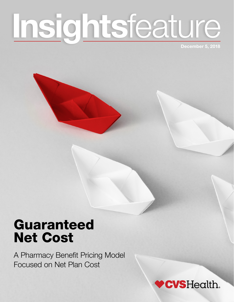# Insightsfeature

December 5, 2018

## Guaranteed Net Cost

A Pharmacy Benefit Pricing Model Focused on Net Plan Cost

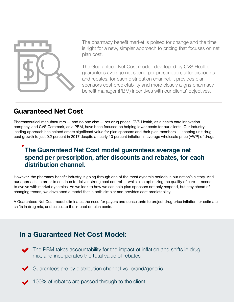

The pharmacy benefit market is poised for change and the time is right for a new, simpler approach to pricing that focuses on net plan cost.

The Guaranteed Net Cost model, developed by CVS Health, guarantees average net spend per prescription, after discounts and rebates, for each distribution channel. It provides plan sponsors cost predictability and more closely aligns pharmacy benefit manager (PBM) incentives with our clients' objectives.

#### Guaranteed Net Cost

Pharmaceutical manufacturers — and no one else — set drug prices. CVS Health, as a health care innovation company, and CVS Caremark, as a PBM, have been focused on helping lower costs for our clients. Our industryleading approach has helped create significant value for plan sponsors and their plan members — keeping unit drug cost growth to just 0.2 percent in 2017 despite a nearly 10 percent inflation in average wholesale price (AWP) of drugs.

#### **The Guaranteed Net Cost model guarantees average net spend per prescription, after discounts and rebates, for each distribution channel.**

However, the pharmacy benefit industry is going through one of the most dynamic periods in our nation's history. And our approach, in order to continue to deliver strong cost control — while also optimizing the quality of care — needs to evolve with market dynamics. As we look to how we can help plan sponsors not only respond, but stay ahead of changing trends, we developed a model that is both simpler and provides cost predictability.

A Guaranteed Net Cost model eliminates the need for payors and consultants to project drug price inflation, or estimate shifts in drug mix, and calculate the impact on plan costs.

#### In a Guaranteed Net Cost Model:



The PBM takes accountability for the impact of inflation and shifts in drug mix, and incorporates the total value of rebates



- Guarantees are by distribution channel vs. brand/generic
	- **100% of rebates are passed through to the client**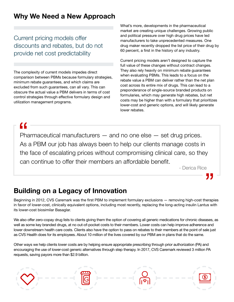#### Why We Need a New Approach

Current pricing models offer discounts and rebates, but do not provide net cost predictability

The complexity of current models impedes direct comparison between PBMs because formulary strategies, minimum rebate guarantees, and which claims are excluded from such guarantees, can all vary. This can obscure the actual value a PBM delivers in terms of cost control strategies through effective formulary design and utilization management programs.

What's more, developments in the pharmaceutical market are creating unique challenges. Growing public and political pressure over high drug prices have led manufacturers to take unprecedented measures. One drug maker recently dropped the list price of their drug by 60 percent, a first in the history of any industry.

Current pricing models aren't designed to capture the full value of these changes without contract changes. They also rely heavily on minimum rebate guarantees when evaluating PBMs. This leads to a focus on the rebate value a PBM can deliver rather than the net plan cost across its entire mix of drugs. This can lead to a preponderance of single-source branded products on formularies, which may generate high rebates, but net costs may be higher than with a formulary that prioritizes lower-cost and generic options, and will likely generate lower rebates.

Pharmaceutical manufacturers — and no one else — set drug prices. As a PBM our job has always been to help our clients manage costs in the face of escalating prices without compromising clinical care, so they can continue to offer their members an affordable benefit.

- Derica Rice

### Building on a Legacy of Innovation

Beginning in 2012, CVS Caremark was the first PBM to implement formulary exclusions — removing high-cost therapies in favor of lower-cost, clinically equivalent options, including most recently, replacing the long-acting insulin Lantus with its lower-cost biosimilar Basaglar.

We also offer zero-copay drug lists to clients giving them the option of covering all generic medications for chronic diseases, as well as some key branded drugs, at no out-of-pocket costs to their members. Lower costs can help improve adherence and lower downstream health care costs. Clients also have the option to pass on rebates to their members at the point of sale just as CVS Health does for its employees. About 10 million of the lives covered by our PBM are in plans that do the same.

Other ways we help clients lower costs are by helping ensure appropriate prescribing through prior authorization (PA) and encouraging the use of lower-cost generic alternatives through step therapy. In 2017, CVS Caremark reviewed 3 million PA requests, saving payors more than \$2.9 billion.